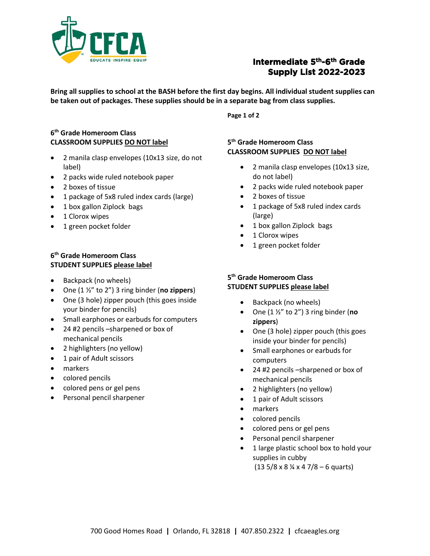

# **Intermediate 5th-6th Grade Supply List 2022-2023**

**Bring all supplies to school at the BASH before the first day begins. All individual student supplies can be taken out of packages. These supplies should be in a separate bag from class supplies.** 

**Page 1 of 2**

### **6 th Grade Homeroom Class CLASSROOM SUPPLIES DO NOT label**

- 2 manila clasp envelopes (10x13 size, do not label)
- 2 packs wide ruled notebook paper
- 2 boxes of tissue
- 1 package of 5x8 ruled index cards (large)
- 1 box gallon Ziplock bags
- 1 Clorox wipes
- 1 green pocket folder

#### **6 th Grade Homeroom Class STUDENT SUPPLIES please label**

- Backpack (no wheels)
- One (1 ½" to 2") 3 ring binder (**no zippers**)
- One (3 hole) zipper pouch (this goes inside your binder for pencils)
- Small earphones or earbuds for computers
- 24 #2 pencils –sharpened or box of mechanical pencils
- 2 highlighters (no yellow)
- 1 pair of Adult scissors
- markers
- colored pencils
- colored pens or gel pens
- Personal pencil sharpener

#### **5 th Grade Homeroom Class CLASSROOM SUPPLIES DO NOT label**

- 2 manila clasp envelopes (10x13 size, do not label)
- 2 packs wide ruled notebook paper
- 2 boxes of tissue
- 1 package of 5x8 ruled index cards (large)
- 1 box gallon Ziplock bags
- 1 Clorox wipes
- 1 green pocket folder

#### **5 th Grade Homeroom Class STUDENT SUPPLIES please label**

- Backpack (no wheels)
- One (1 ½" to 2") 3 ring binder (**no zippers**)
- One (3 hole) zipper pouch (this goes inside your binder for pencils)
- Small earphones or earbuds for computers
- 24 #2 pencils –sharpened or box of mechanical pencils
- 2 highlighters (no yellow)
- 1 pair of Adult scissors
- markers
- colored pencils
- colored pens or gel pens
- Personal pencil sharpener
- 1 large plastic school box to hold your supplies in cubby

 $(13\ 5/8 \times 8 \frac{1}{4} \times 4\ 7/8 - 6$  quarts)